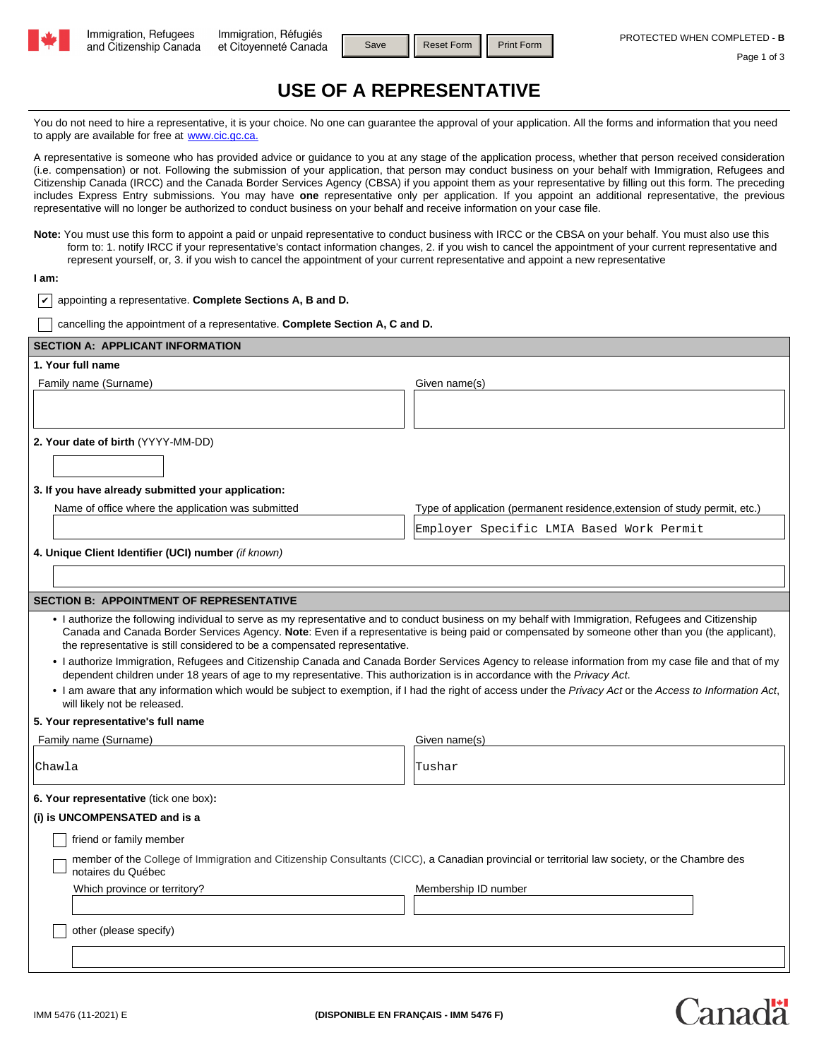

Save | Reset Form | Print Form

## Page 1 of 3

Canadä

# **USE OF A REPRESENTATIVE**

You do not need to hire a representative, it is your choice. No one can guarantee the approval of your application. All the forms and information that you need to apply are available for free at www.cic.gc.ca.

A representative is someone who has provided advice or guidance to you at any stage of the application process, whether that person received consideration (i.e. compensation) or not. Following the submission of your application, that person may conduct business on your behalf with Immigration, Refugees and Citizenship Canada (IRCC) and the Canada Border Services Agency (CBSA) if you appoint them as your representative by filling out this form. The preceding includes Express Entry submissions. You may have **one** representative only per application. If you appoint an additional representative, the previous representative will no longer be authorized to conduct business on your behalf and receive information on your case file.

**Note:** You must use this form to appoint a paid or unpaid representative to conduct business with IRCC or the CBSA on your behalf. You must also use this form to: 1. notify IRCC if your representative's contact information changes, 2. if you wish to cancel the appointment of your current representative and represent yourself, or, 3. if you wish to cancel the appointment of your current representative and appoint a new representative

### **I am:**

**✓** appointing a representative. Complete Sections A, B and D.

cancelling the appointment of a representative. **Complete Section A, C and D.**

| <b>SECTION A: APPLICANT INFORMATION</b>                                                                                                                                                                                                                                                                                                                                                |                                                                            |  |  |  |  |  |  |
|----------------------------------------------------------------------------------------------------------------------------------------------------------------------------------------------------------------------------------------------------------------------------------------------------------------------------------------------------------------------------------------|----------------------------------------------------------------------------|--|--|--|--|--|--|
| 1. Your full name                                                                                                                                                                                                                                                                                                                                                                      |                                                                            |  |  |  |  |  |  |
| Family name (Surname)                                                                                                                                                                                                                                                                                                                                                                  | Given name(s)                                                              |  |  |  |  |  |  |
|                                                                                                                                                                                                                                                                                                                                                                                        |                                                                            |  |  |  |  |  |  |
|                                                                                                                                                                                                                                                                                                                                                                                        |                                                                            |  |  |  |  |  |  |
| 2. Your date of birth (YYYY-MM-DD)                                                                                                                                                                                                                                                                                                                                                     |                                                                            |  |  |  |  |  |  |
|                                                                                                                                                                                                                                                                                                                                                                                        |                                                                            |  |  |  |  |  |  |
| 3. If you have already submitted your application:                                                                                                                                                                                                                                                                                                                                     |                                                                            |  |  |  |  |  |  |
| Name of office where the application was submitted                                                                                                                                                                                                                                                                                                                                     | Type of application (permanent residence, extension of study permit, etc.) |  |  |  |  |  |  |
|                                                                                                                                                                                                                                                                                                                                                                                        | Employer Specific LMIA Based Work Permit                                   |  |  |  |  |  |  |
| 4. Unique Client Identifier (UCI) number (if known)                                                                                                                                                                                                                                                                                                                                    |                                                                            |  |  |  |  |  |  |
|                                                                                                                                                                                                                                                                                                                                                                                        |                                                                            |  |  |  |  |  |  |
|                                                                                                                                                                                                                                                                                                                                                                                        |                                                                            |  |  |  |  |  |  |
| <b>SECTION B: APPOINTMENT OF REPRESENTATIVE</b>                                                                                                                                                                                                                                                                                                                                        |                                                                            |  |  |  |  |  |  |
| . I authorize the following individual to serve as my representative and to conduct business on my behalf with Immigration, Refugees and Citizenship<br>Canada and Canada Border Services Agency. Note: Even if a representative is being paid or compensated by someone other than you (the applicant),<br>the representative is still considered to be a compensated representative. |                                                                            |  |  |  |  |  |  |
| . I authorize Immigration, Refugees and Citizenship Canada and Canada Border Services Agency to release information from my case file and that of my<br>dependent children under 18 years of age to my representative. This authorization is in accordance with the Privacy Act.                                                                                                       |                                                                            |  |  |  |  |  |  |
| . I am aware that any information which would be subject to exemption, if I had the right of access under the Privacy Act or the Access to Information Act,<br>will likely not be released.                                                                                                                                                                                            |                                                                            |  |  |  |  |  |  |
| 5. Your representative's full name                                                                                                                                                                                                                                                                                                                                                     |                                                                            |  |  |  |  |  |  |
| Family name (Surname)                                                                                                                                                                                                                                                                                                                                                                  | Given name(s)                                                              |  |  |  |  |  |  |
| Chawla                                                                                                                                                                                                                                                                                                                                                                                 | lTushar                                                                    |  |  |  |  |  |  |
| 6. Your representative (tick one box):                                                                                                                                                                                                                                                                                                                                                 |                                                                            |  |  |  |  |  |  |
| (i) is UNCOMPENSATED and is a                                                                                                                                                                                                                                                                                                                                                          |                                                                            |  |  |  |  |  |  |
| friend or family member                                                                                                                                                                                                                                                                                                                                                                |                                                                            |  |  |  |  |  |  |
| member of the College of Immigration and Citizenship Consultants (CICC), a Canadian provincial or territorial law society, or the Chambre des<br>notaires du Québec                                                                                                                                                                                                                    |                                                                            |  |  |  |  |  |  |
| Which province or territory?                                                                                                                                                                                                                                                                                                                                                           | Membership ID number                                                       |  |  |  |  |  |  |
|                                                                                                                                                                                                                                                                                                                                                                                        |                                                                            |  |  |  |  |  |  |
| other (please specify)                                                                                                                                                                                                                                                                                                                                                                 |                                                                            |  |  |  |  |  |  |
|                                                                                                                                                                                                                                                                                                                                                                                        |                                                                            |  |  |  |  |  |  |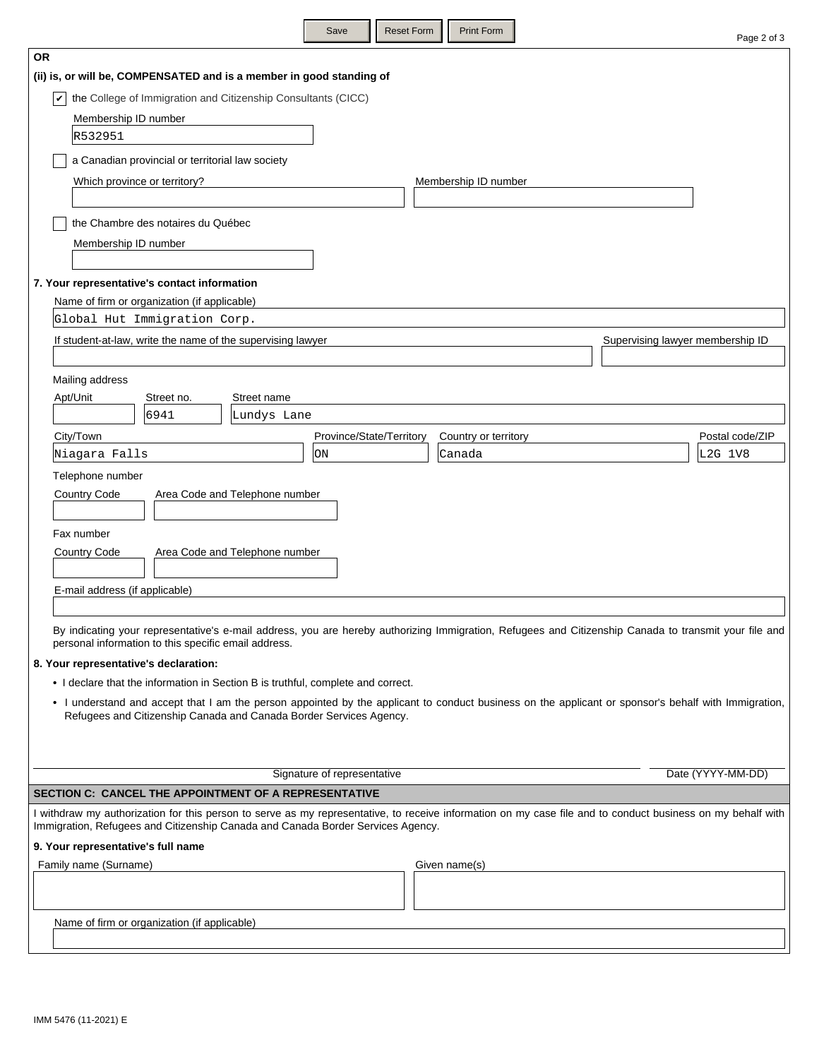|                                                                                                                                                                                                                                          |                                |                                                                                 |                                | save                        | Reset Form |  | Print Form           |                                  | Page 2 of 3                                                                                                                                                 |
|------------------------------------------------------------------------------------------------------------------------------------------------------------------------------------------------------------------------------------------|--------------------------------|---------------------------------------------------------------------------------|--------------------------------|-----------------------------|------------|--|----------------------|----------------------------------|-------------------------------------------------------------------------------------------------------------------------------------------------------------|
| <b>OR</b>                                                                                                                                                                                                                                |                                |                                                                                 |                                |                             |            |  |                      |                                  |                                                                                                                                                             |
| (ii) is, or will be, COMPENSATED and is a member in good standing of                                                                                                                                                                     |                                |                                                                                 |                                |                             |            |  |                      |                                  |                                                                                                                                                             |
| V                                                                                                                                                                                                                                        |                                | the College of Immigration and Citizenship Consultants (CICC)                   |                                |                             |            |  |                      |                                  |                                                                                                                                                             |
|                                                                                                                                                                                                                                          | Membership ID number           |                                                                                 |                                |                             |            |  |                      |                                  |                                                                                                                                                             |
|                                                                                                                                                                                                                                          | R532951                        |                                                                                 |                                |                             |            |  |                      |                                  |                                                                                                                                                             |
|                                                                                                                                                                                                                                          |                                | a Canadian provincial or territorial law society                                |                                |                             |            |  |                      |                                  |                                                                                                                                                             |
|                                                                                                                                                                                                                                          |                                | Which province or territory?                                                    |                                |                             |            |  | Membership ID number |                                  |                                                                                                                                                             |
|                                                                                                                                                                                                                                          |                                |                                                                                 |                                |                             |            |  |                      |                                  |                                                                                                                                                             |
|                                                                                                                                                                                                                                          |                                | the Chambre des notaires du Québec                                              |                                |                             |            |  |                      |                                  |                                                                                                                                                             |
|                                                                                                                                                                                                                                          | Membership ID number           |                                                                                 |                                |                             |            |  |                      |                                  |                                                                                                                                                             |
|                                                                                                                                                                                                                                          |                                |                                                                                 |                                |                             |            |  |                      |                                  |                                                                                                                                                             |
|                                                                                                                                                                                                                                          |                                | 7. Your representative's contact information                                    |                                |                             |            |  |                      |                                  |                                                                                                                                                             |
|                                                                                                                                                                                                                                          |                                | Name of firm or organization (if applicable)                                    |                                |                             |            |  |                      |                                  |                                                                                                                                                             |
|                                                                                                                                                                                                                                          |                                | Global Hut Immigration Corp.                                                    |                                |                             |            |  |                      |                                  |                                                                                                                                                             |
|                                                                                                                                                                                                                                          |                                | If student-at-law, write the name of the supervising lawyer                     |                                |                             |            |  |                      | Supervising lawyer membership ID |                                                                                                                                                             |
|                                                                                                                                                                                                                                          |                                |                                                                                 |                                |                             |            |  |                      |                                  |                                                                                                                                                             |
|                                                                                                                                                                                                                                          | Mailing address                |                                                                                 |                                |                             |            |  |                      |                                  |                                                                                                                                                             |
| Apt/Unit                                                                                                                                                                                                                                 |                                | Street no.                                                                      | Street name                    |                             |            |  |                      |                                  |                                                                                                                                                             |
|                                                                                                                                                                                                                                          |                                | 6941                                                                            | Lundys Lane                    |                             |            |  |                      |                                  |                                                                                                                                                             |
|                                                                                                                                                                                                                                          | City/Town                      |                                                                                 |                                | Province/State/Territory    |            |  | Country or territory |                                  | Postal code/ZIP                                                                                                                                             |
|                                                                                                                                                                                                                                          | Niagara Falls                  |                                                                                 |                                | ON                          |            |  | Canada               |                                  | L2G 1V8                                                                                                                                                     |
|                                                                                                                                                                                                                                          | Telephone number               |                                                                                 |                                |                             |            |  |                      |                                  |                                                                                                                                                             |
|                                                                                                                                                                                                                                          | <b>Country Code</b>            |                                                                                 | Area Code and Telephone number |                             |            |  |                      |                                  |                                                                                                                                                             |
|                                                                                                                                                                                                                                          | Fax number                     |                                                                                 |                                |                             |            |  |                      |                                  |                                                                                                                                                             |
|                                                                                                                                                                                                                                          | <b>Country Code</b>            |                                                                                 | Area Code and Telephone number |                             |            |  |                      |                                  |                                                                                                                                                             |
|                                                                                                                                                                                                                                          |                                |                                                                                 |                                |                             |            |  |                      |                                  |                                                                                                                                                             |
|                                                                                                                                                                                                                                          | E-mail address (if applicable) |                                                                                 |                                |                             |            |  |                      |                                  |                                                                                                                                                             |
|                                                                                                                                                                                                                                          |                                |                                                                                 |                                |                             |            |  |                      |                                  |                                                                                                                                                             |
|                                                                                                                                                                                                                                          |                                | personal information to this specific email address.                            |                                |                             |            |  |                      |                                  | By indicating your representative's e-mail address, you are hereby authorizing Immigration, Refugees and Citizenship Canada to transmit your file and       |
|                                                                                                                                                                                                                                          |                                | 8. Your representative's declaration:                                           |                                |                             |            |  |                      |                                  |                                                                                                                                                             |
|                                                                                                                                                                                                                                          |                                |                                                                                 |                                |                             |            |  |                      |                                  |                                                                                                                                                             |
| • I declare that the information in Section B is truthful, complete and correct.<br>• I understand and accept that I am the person appointed by the applicant to conduct business on the applicant or sponsor's behalf with Immigration, |                                |                                                                                 |                                |                             |            |  |                      |                                  |                                                                                                                                                             |
|                                                                                                                                                                                                                                          |                                | Refugees and Citizenship Canada and Canada Border Services Agency.              |                                |                             |            |  |                      |                                  |                                                                                                                                                             |
|                                                                                                                                                                                                                                          |                                |                                                                                 |                                |                             |            |  |                      |                                  |                                                                                                                                                             |
|                                                                                                                                                                                                                                          |                                |                                                                                 |                                |                             |            |  |                      |                                  |                                                                                                                                                             |
|                                                                                                                                                                                                                                          |                                |                                                                                 |                                | Signature of representative |            |  |                      |                                  | Date (YYYY-MM-DD)                                                                                                                                           |
|                                                                                                                                                                                                                                          |                                | SECTION C: CANCEL THE APPOINTMENT OF A REPRESENTATIVE                           |                                |                             |            |  |                      |                                  |                                                                                                                                                             |
|                                                                                                                                                                                                                                          |                                | Immigration, Refugees and Citizenship Canada and Canada Border Services Agency. |                                |                             |            |  |                      |                                  | I withdraw my authorization for this person to serve as my representative, to receive information on my case file and to conduct business on my behalf with |
|                                                                                                                                                                                                                                          |                                | 9. Your representative's full name                                              |                                |                             |            |  |                      |                                  |                                                                                                                                                             |
|                                                                                                                                                                                                                                          | Family name (Surname)          |                                                                                 |                                |                             |            |  | Given name(s)        |                                  |                                                                                                                                                             |
|                                                                                                                                                                                                                                          |                                |                                                                                 |                                |                             |            |  |                      |                                  |                                                                                                                                                             |
|                                                                                                                                                                                                                                          |                                |                                                                                 |                                |                             |            |  |                      |                                  |                                                                                                                                                             |
|                                                                                                                                                                                                                                          |                                | Name of firm or organization (if applicable)                                    |                                |                             |            |  |                      |                                  |                                                                                                                                                             |

Save **Reset Form** Print Form